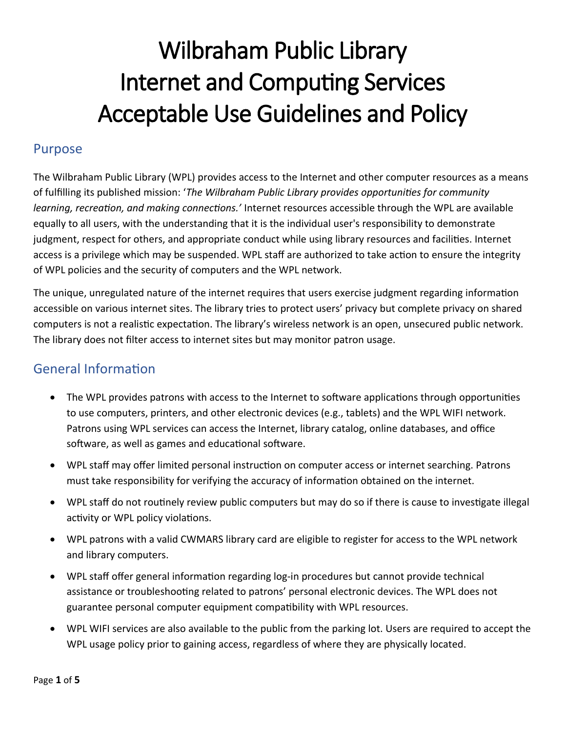#### Purpose

The Wilbraham Public Library (WPL) provides access to the Internet and other computer resources as a means of fulfilling its published mission: '*The Wilbraham Public Library provides opportunities for community learning, recreation, and making connections.'* Internet resources accessible through the WPL are available equally to all users, with the understanding that it is the individual user's responsibility to demonstrate judgment, respect for others, and appropriate conduct while using library resources and facilities. Internet access is a privilege which may be suspended. WPL staff are authorized to take action to ensure the integrity of WPL policies and the security of computers and the WPL network.

The unique, unregulated nature of the internet requires that users exercise judgment regarding information accessible on various internet sites. The library tries to protect users' privacy but complete privacy on shared computers is not a realistic expectation. The library's wireless network is an open, unsecured public network. The library does not filter access to internet sites but may monitor patron usage.

### General Information

- The WPL provides patrons with access to the Internet to software applications through opportunities to use computers, printers, and other electronic devices (e.g., tablets) and the WPL WIFI network. Patrons using WPL services can access the Internet, library catalog, online databases, and office software, as well as games and educational software.
- WPL staff may offer limited personal instruction on computer access or internet searching. Patrons must take responsibility for verifying the accuracy of information obtained on the internet.
- WPL staff do not routinely review public computers but may do so if there is cause to investigate illegal activity or WPL policy violations.
- WPL patrons with a valid CWMARS library card are eligible to register for access to the WPL network and library computers.
- WPL staff offer general information regarding log-in procedures but cannot provide technical assistance or troubleshooting related to patrons' personal electronic devices. The WPL does not guarantee personal computer equipment compatibility with WPL resources.
- WPL WIFI services are also available to the public from the parking lot. Users are required to accept the WPL usage policy prior to gaining access, regardless of where they are physically located.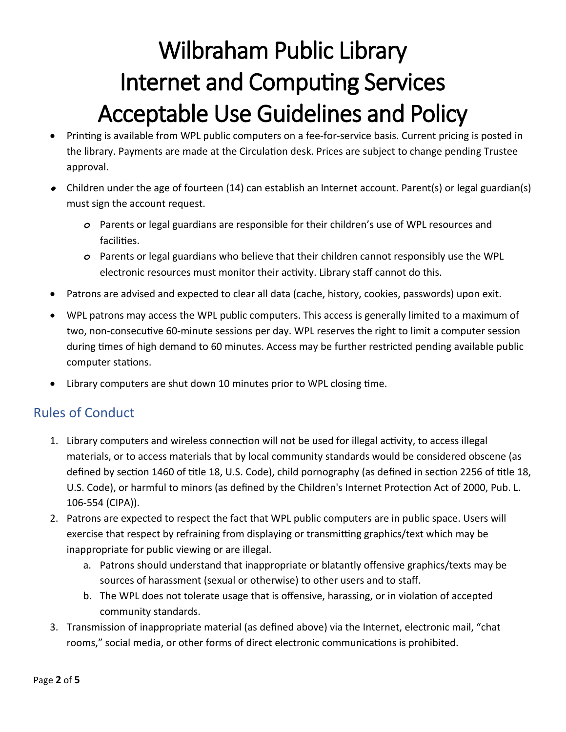- Printing is available from WPL public computers on a fee-for-service basis. Current pricing is posted in the library. Payments are made at the Circulation desk. Prices are subject to change pending Trustee approval.
- Children under the age of fourteen (14) can establish an Internet account. Parent(s) or legal guardian(s) must sign the account request.
	- *o* Parents or legal guardians are responsible for their children's use of WPL resources and facilities.
	- *o* Parents or legal guardians who believe that their children cannot responsibly use the WPL electronic resources must monitor their activity. Library staff cannot do this.
- Patrons are advised and expected to clear all data (cache, history, cookies, passwords) upon exit.
- WPL patrons may access the WPL public computers. This access is generally limited to a maximum of two, non-consecutive 60-minute sessions per day. WPL reserves the right to limit a computer session during times of high demand to 60 minutes. Access may be further restricted pending available public computer stations.
- Library computers are shut down 10 minutes prior to WPL closing time.

### Rules of Conduct

- 1. Library computers and wireless connection will not be used for illegal activity, to access illegal materials, or to access materials that by local community standards would be considered obscene (as defined by section 1460 of title 18, U.S. Code), child pornography (as defined in section 2256 of title 18, U.S. Code), or harmful to minors (as defined by the Children's Internet Protection Act of 2000, Pub. L. 106-554 (CIPA)).
- 2. Patrons are expected to respect the fact that WPL public computers are in public space. Users will exercise that respect by refraining from displaying or transmitting graphics/text which may be inappropriate for public viewing or are illegal.
	- a. Patrons should understand that inappropriate or blatantly offensive graphics/texts may be sources of harassment (sexual or otherwise) to other users and to staff.
	- b. The WPL does not tolerate usage that is offensive, harassing, or in violation of accepted community standards.
- 3. Transmission of inappropriate material (as defined above) via the Internet, electronic mail, "chat rooms," social media, or other forms of direct electronic communications is prohibited.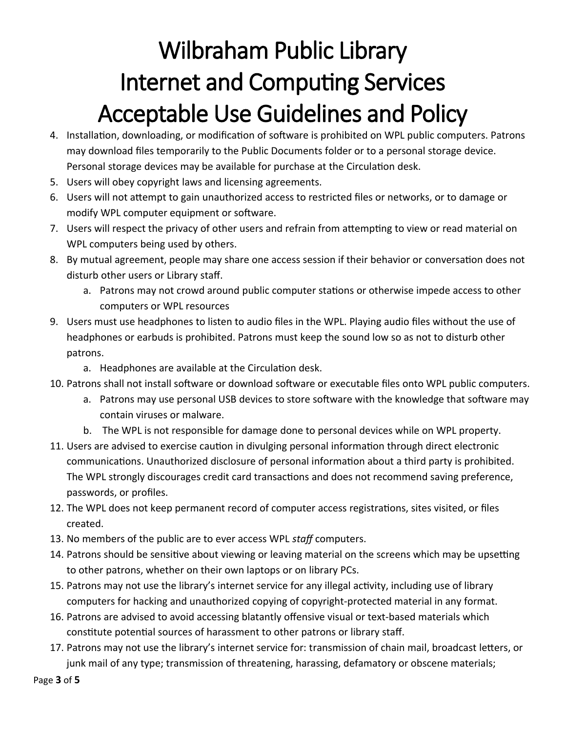- 4. Installation, downloading, or modification of software is prohibited on WPL public computers. Patrons may download files temporarily to the Public Documents folder or to a personal storage device. Personal storage devices may be available for purchase at the Circulation desk.
- 5. Users will obey copyright laws and licensing agreements.
- 6. Users will not attempt to gain unauthorized access to restricted files or networks, or to damage or modify WPL computer equipment or software.
- 7. Users will respect the privacy of other users and refrain from attempting to view or read material on WPL computers being used by others.
- 8. By mutual agreement, people may share one access session if their behavior or conversation does not disturb other users or Library staff.
	- a. Patrons may not crowd around public computer stations or otherwise impede access to other computers or WPL resources
- 9. Users must use headphones to listen to audio files in the WPL. Playing audio files without the use of headphones or earbuds is prohibited. Patrons must keep the sound low so as not to disturb other patrons.
	- a. Headphones are available at the Circulation desk.
- 10. Patrons shall not install software or download software or executable files onto WPL public computers.
	- a. Patrons may use personal USB devices to store software with the knowledge that software may contain viruses or malware.
	- b. The WPL is not responsible for damage done to personal devices while on WPL property.
- 11. Users are advised to exercise caution in divulging personal information through direct electronic communications. Unauthorized disclosure of personal information about a third party is prohibited. The WPL strongly discourages credit card transactions and does not recommend saving preference, passwords, or profiles.
- 12. The WPL does not keep permanent record of computer access registrations, sites visited, or files created.
- 13. No members of the public are to ever access WPL *staff* computers.
- 14. Patrons should be sensitive about viewing or leaving material on the screens which may be upsetting to other patrons, whether on their own laptops or on library PCs.
- 15. Patrons may not use the library's internet service for any illegal activity, including use of library computers for hacking and unauthorized copying of copyright-protected material in any format.
- 16. Patrons are advised to avoid accessing blatantly offensive visual or text-based materials which constitute potential sources of harassment to other patrons or library staff.
- 17. Patrons may not use the library's internet service for: transmission of chain mail, broadcast letters, or junk mail of any type; transmission of threatening, harassing, defamatory or obscene materials;

Page **3** of **5**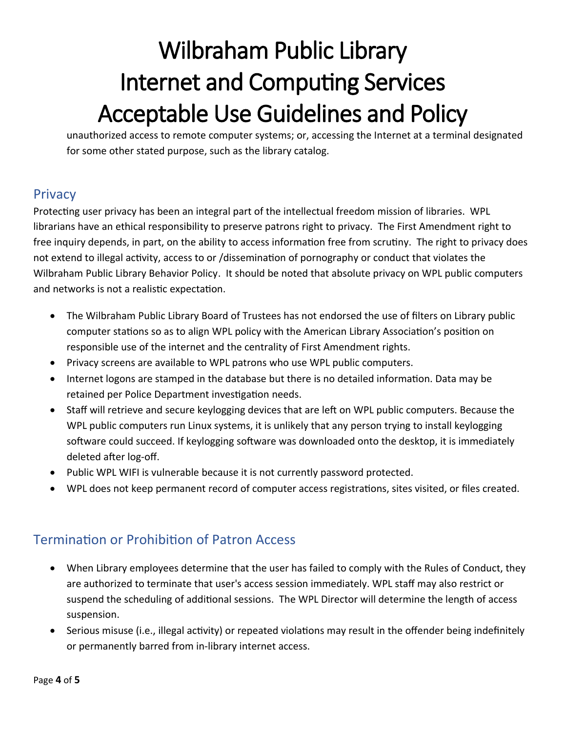unauthorized access to remote computer systems; or, accessing the Internet at a terminal designated for some other stated purpose, such as the library catalog.

### **Privacy**

Protecting user privacy has been an integral part of the intellectual freedom mission of libraries. WPL librarians have an ethical responsibility to preserve patrons right to privacy. The First Amendment right to free inquiry depends, in part, on the ability to access information free from scrutiny. The right to privacy does not extend to illegal activity, access to or /dissemination of pornography or conduct that violates the Wilbraham Public Library Behavior Policy. It should be noted that absolute privacy on WPL public computers and networks is not a realistic expectation.

- The Wilbraham Public Library Board of Trustees has not endorsed the use of filters on Library public computer stations so as to align WPL policy with the American Library Association's position on responsible use of the internet and the centrality of First Amendment rights.
- Privacy screens are available to WPL patrons who use WPL public computers.
- Internet logons are stamped in the database but there is no detailed information. Data may be retained per Police Department investigation needs.
- Staff will retrieve and secure keylogging devices that are left on WPL public computers. Because the WPL public computers run Linux systems, it is unlikely that any person trying to install keylogging software could succeed. If keylogging software was downloaded onto the desktop, it is immediately deleted after log-off.
- Public WPL WIFI is vulnerable because it is not currently password protected.
- WPL does not keep permanent record of computer access registrations, sites visited, or files created.

### Termination or Prohibition of Patron Access

- When Library employees determine that the user has failed to comply with the Rules of Conduct, they are authorized to terminate that user's access session immediately. WPL staff may also restrict or suspend the scheduling of additional sessions. The WPL Director will determine the length of access suspension.
- Serious misuse (i.e., illegal activity) or repeated violations may result in the offender being indefinitely or permanently barred from in-library internet access.